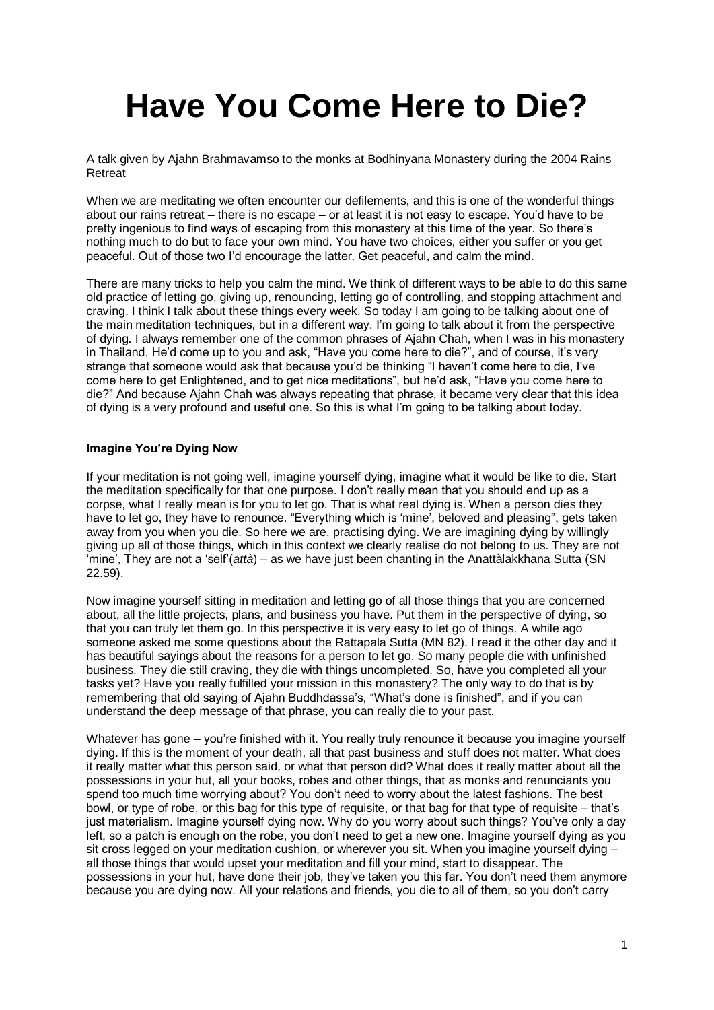# **Have You Come Here to Die?**

A talk given by Ajahn Brahmavamso to the monks at Bodhinyana Monastery during the 2004 Rains **Retreat** 

When we are meditating we often encounter our defilements, and this is one of the wonderful things about our rains retreat – there is no escape – or at least it is not easy to escape. You'd have to be pretty ingenious to find ways of escaping from this monastery at this time of the year. So there's nothing much to do but to face your own mind. You have two choices, either you suffer or you get peaceful. Out of those two I'd encourage the latter. Get peaceful, and calm the mind.

There are many tricks to help you calm the mind. We think of different ways to be able to do this same old practice of letting go, giving up, renouncing, letting go of controlling, and stopping attachment and craving. I think I talk about these things every week. So today I am going to be talking about one of the main meditation techniques, but in a different way. I'm going to talk about it from the perspective of dying. I always remember one of the common phrases of Ajahn Chah, when I was in his monastery in Thailand. He'd come up to you and ask, "Have you come here to die?", and of course, it's very strange that someone would ask that because you'd be thinking "I haven't come here to die, I've come here to get Enlightened, and to get nice meditations", but he'd ask, "Have you come here to die?" And because Ajahn Chah was always repeating that phrase, it became very clear that this idea of dying is a very profound and useful one. So this is what I'm going to be talking about today.

# **Imagine You're Dying Now**

If your meditation is not going well, imagine yourself dying, imagine what it would be like to die. Start the meditation specifically for that one purpose. I don't really mean that you should end up as a corpse, what I really mean is for you to let go. That is what real dying is. When a person dies they have to let go, they have to renounce. "Everything which is 'mine', beloved and pleasing", gets taken away from you when you die. So here we are, practising dying. We are imagining dying by willingly giving up all of those things, which in this context we clearly realise do not belong to us. They are not 'mine', They are not a 'self'(*attà*) – as we have just been chanting in the Anattàlakkhana Sutta (SN 22.59).

Now imagine yourself sitting in meditation and letting go of all those things that you are concerned about, all the little projects, plans, and business you have. Put them in the perspective of dying, so that you can truly let them go. In this perspective it is very easy to let go of things. A while ago someone asked me some questions about the Rattapala Sutta (MN 82). I read it the other day and it has beautiful sayings about the reasons for a person to let go. So many people die with unfinished business. They die still craving, they die with things uncompleted. So, have you completed all your tasks yet? Have you really fulfilled your mission in this monastery? The only way to do that is by remembering that old saying of Ajahn Buddhdassa's, "What's done is finished", and if you can understand the deep message of that phrase, you can really die to your past.

Whatever has gone – you're finished with it. You really truly renounce it because you imagine yourself dying. If this is the moment of your death, all that past business and stuff does not matter. What does it really matter what this person said, or what that person did? What does it really matter about all the possessions in your hut, all your books, robes and other things, that as monks and renunciants you spend too much time worrying about? You don't need to worry about the latest fashions. The best bowl, or type of robe, or this bag for this type of requisite, or that bag for that type of requisite – that's just materialism. Imagine yourself dying now. Why do you worry about such things? You've only a day left, so a patch is enough on the robe, you don't need to get a new one. Imagine yourself dying as you sit cross legged on your meditation cushion, or wherever you sit. When you imagine yourself dying – all those things that would upset your meditation and fill your mind, start to disappear. The possessions in your hut, have done their job, they've taken you this far. You don't need them anymore because you are dying now. All your relations and friends, you die to all of them, so you don't carry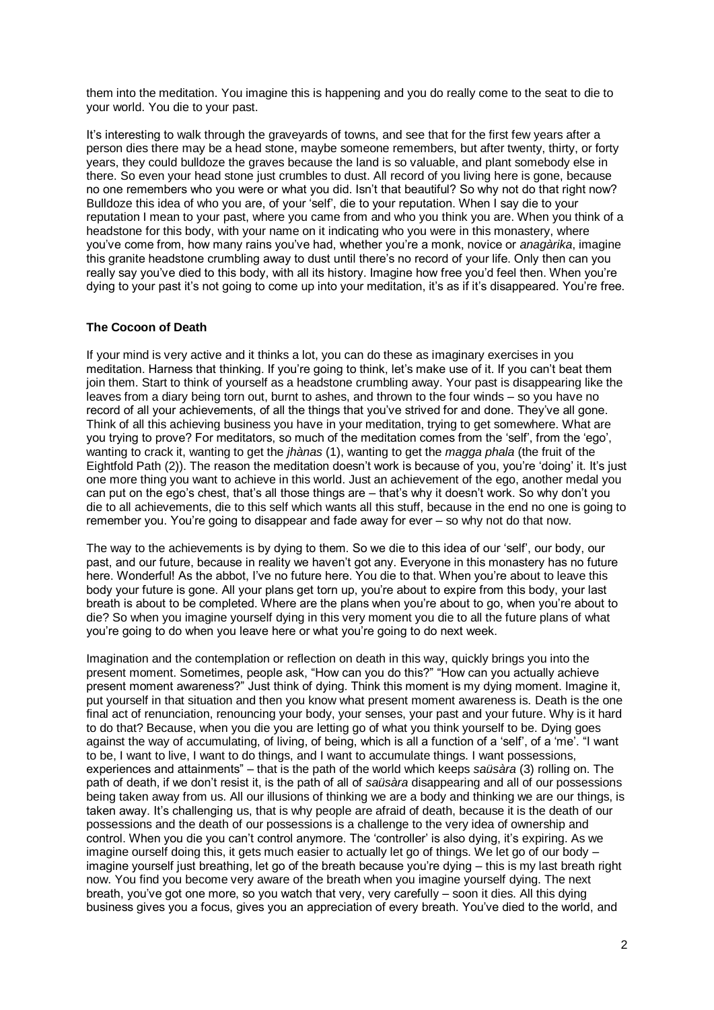them into the meditation. You imagine this is happening and you do really come to the seat to die to your world. You die to your past.

It's interesting to walk through the graveyards of towns, and see that for the first few years after a person dies there may be a head stone, maybe someone remembers, but after twenty, thirty, or forty years, they could bulldoze the graves because the land is so valuable, and plant somebody else in there. So even your head stone just crumbles to dust. All record of you living here is gone, because no one remembers who you were or what you did. Isn't that beautiful? So why not do that right now? Bulldoze this idea of who you are, of your 'self', die to your reputation. When I say die to your reputation I mean to your past, where you came from and who you think you are. When you think of a headstone for this body, with your name on it indicating who you were in this monastery, where you've come from, how many rains you've had, whether you're a monk, novice or *anagàrika*, imagine this granite headstone crumbling away to dust until there's no record of your life. Only then can you really say you've died to this body, with all its history. Imagine how free you'd feel then. When you're dying to your past it's not going to come up into your meditation, it's as if it's disappeared. You're free.

# **The Cocoon of Death**

If your mind is very active and it thinks a lot, you can do these as imaginary exercises in you meditation. Harness that thinking. If you're going to think, let's make use of it. If you can't beat them join them. Start to think of yourself as a headstone crumbling away. Your past is disappearing like the leaves from a diary being torn out, burnt to ashes, and thrown to the four winds – so you have no record of all your achievements, of all the things that you've strived for and done. They've all gone. Think of all this achieving business you have in your meditation, trying to get somewhere. What are you trying to prove? For meditators, so much of the meditation comes from the 'self', from the 'ego', wanting to crack it, wanting to get the *jhànas* (1), wanting to get the *magga phala* (the fruit of the Eightfold Path (2)). The reason the meditation doesn't work is because of you, you're 'doing' it. It's just one more thing you want to achieve in this world. Just an achievement of the ego, another medal you can put on the ego's chest, that's all those things are – that's why it doesn't work. So why don't you die to all achievements, die to this self which wants all this stuff, because in the end no one is going to remember you. You're going to disappear and fade away for ever – so why not do that now.

The way to the achievements is by dying to them. So we die to this idea of our 'self', our body, our past, and our future, because in reality we haven't got any. Everyone in this monastery has no future here. Wonderful! As the abbot, I've no future here. You die to that. When you're about to leave this body your future is gone. All your plans get torn up, you're about to expire from this body, your last breath is about to be completed. Where are the plans when you're about to go, when you're about to die? So when you imagine yourself dying in this very moment you die to all the future plans of what you're going to do when you leave here or what you're going to do next week.

Imagination and the contemplation or reflection on death in this way, quickly brings you into the present moment. Sometimes, people ask, "How can you do this?" "How can you actually achieve present moment awareness?" Just think of dying. Think this moment is my dying moment. Imagine it, put yourself in that situation and then you know what present moment awareness is. Death is the one final act of renunciation, renouncing your body, your senses, your past and your future. Why is it hard to do that? Because, when you die you are letting go of what you think yourself to be. Dying goes against the way of accumulating, of living, of being, which is all a function of a 'self', of a 'me'. "I want to be, I want to live, I want to do things, and I want to accumulate things. I want possessions, experiences and attainments" – that is the path of the world which keeps *saüsàra* (3) rolling on. The path of death, if we don't resist it, is the path of all of *saüsàra* disappearing and all of our possessions being taken away from us. All our illusions of thinking we are a body and thinking we are our things, is taken away. It's challenging us, that is why people are afraid of death, because it is the death of our possessions and the death of our possessions is a challenge to the very idea of ownership and control. When you die you can't control anymore. The 'controller' is also dying, it's expiring. As we imagine ourself doing this, it gets much easier to actually let go of things. We let go of our body – imagine yourself just breathing, let go of the breath because you're dying – this is my last breath right now. You find you become very aware of the breath when you imagine yourself dying. The next breath, you've got one more, so you watch that very, very carefully – soon it dies. All this dying business gives you a focus, gives you an appreciation of every breath. You've died to the world, and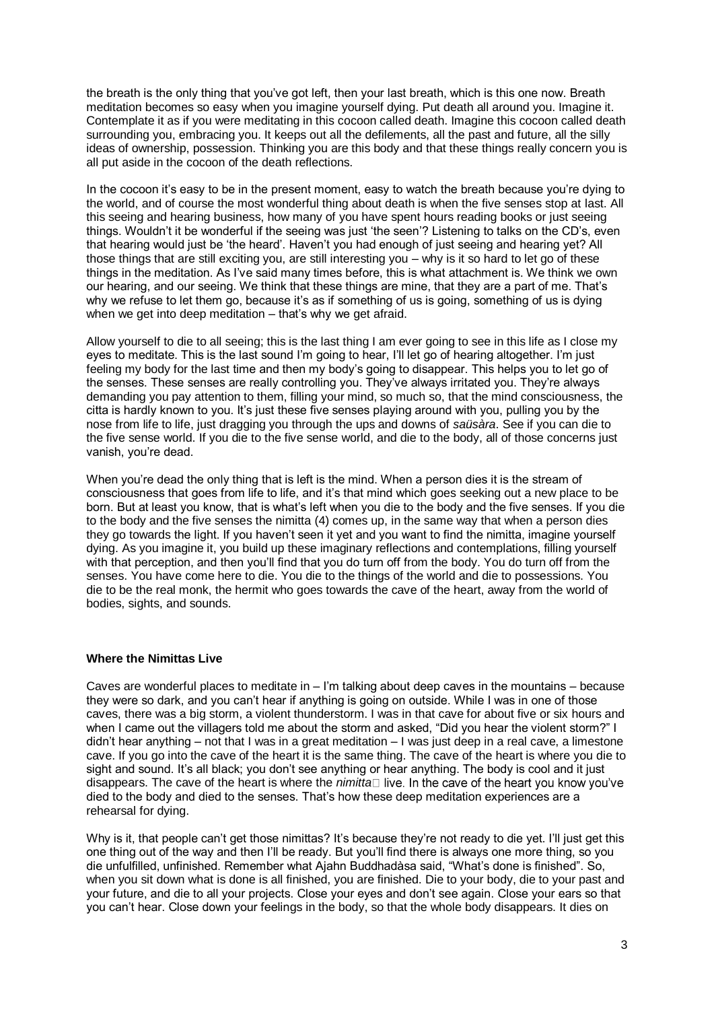the breath is the only thing that you've got left, then your last breath, which is this one now. Breath meditation becomes so easy when you imagine yourself dying. Put death all around you. Imagine it. Contemplate it as if you were meditating in this cocoon called death. Imagine this cocoon called death surrounding you, embracing you. It keeps out all the defilements, all the past and future, all the silly ideas of ownership, possession. Thinking you are this body and that these things really concern you is all put aside in the cocoon of the death reflections.

In the cocoon it's easy to be in the present moment, easy to watch the breath because you're dying to the world, and of course the most wonderful thing about death is when the five senses stop at last. All this seeing and hearing business, how many of you have spent hours reading books or just seeing things. Wouldn't it be wonderful if the seeing was just 'the seen'? Listening to talks on the CD's, even that hearing would just be 'the heard'. Haven't you had enough of just seeing and hearing yet? All those things that are still exciting you, are still interesting you – why is it so hard to let go of these things in the meditation. As I've said many times before, this is what attachment is. We think we own our hearing, and our seeing. We think that these things are mine, that they are a part of me. That's why we refuse to let them go, because it's as if something of us is going, something of us is dying when we get into deep meditation – that's why we get afraid.

Allow yourself to die to all seeing; this is the last thing I am ever going to see in this life as I close my eyes to meditate. This is the last sound I'm going to hear, I'll let go of hearing altogether. I'm just feeling my body for the last time and then my body's going to disappear. This helps you to let go of the senses. These senses are really controlling you. They've always irritated you. They're always demanding you pay attention to them, filling your mind, so much so, that the mind consciousness, the citta is hardly known to you. It's just these five senses playing around with you, pulling you by the nose from life to life, just dragging you through the ups and downs of *saüsàra*. See if you can die to the five sense world. If you die to the five sense world, and die to the body, all of those concerns just vanish, you're dead.

When you're dead the only thing that is left is the mind. When a person dies it is the stream of consciousness that goes from life to life, and it's that mind which goes seeking out a new place to be born. But at least you know, that is what's left when you die to the body and the five senses. If you die to the body and the five senses the nimitta (4) comes up, in the same way that when a person dies they go towards the light. If you haven't seen it yet and you want to find the nimitta, imagine yourself dying. As you imagine it, you build up these imaginary reflections and contemplations, filling yourself with that perception, and then you'll find that you do turn off from the body. You do turn off from the senses. You have come here to die. You die to the things of the world and die to possessions. You die to be the real monk, the hermit who goes towards the cave of the heart, away from the world of bodies, sights, and sounds.

### **Where the Nimittas Live**

Caves are wonderful places to meditate in – I'm talking about deep caves in the mountains – because they were so dark, and you can't hear if anything is going on outside. While I was in one of those caves, there was a big storm, a violent thunderstorm. I was in that cave for about five or six hours and when I came out the villagers told me about the storm and asked, "Did you hear the violent storm?" I didn't hear anything – not that I was in a great meditation – I was just deep in a real cave, a limestone cave. If you go into the cave of the heart it is the same thing. The cave of the heart is where you die to sight and sound. It's all black; you don't see anything or hear anything. The body is cool and it just disappears. The cave of the heart is where the *nimitta* died to the body and died to the senses. That's how these deep meditation experiences are a rehearsal for dying.

Why is it, that people can't get those nimittas? It's because they're not ready to die yet. I'll just get this one thing out of the way and then I'll be ready. But you'll find there is always one more thing, so you die unfulfilled, unfinished. Remember what Ajahn Buddhadàsa said, "What's done is finished". So, when you sit down what is done is all finished, you are finished. Die to your body, die to your past and your future, and die to all your projects. Close your eyes and don't see again. Close your ears so that you can't hear. Close down your feelings in the body, so that the whole body disappears. It dies on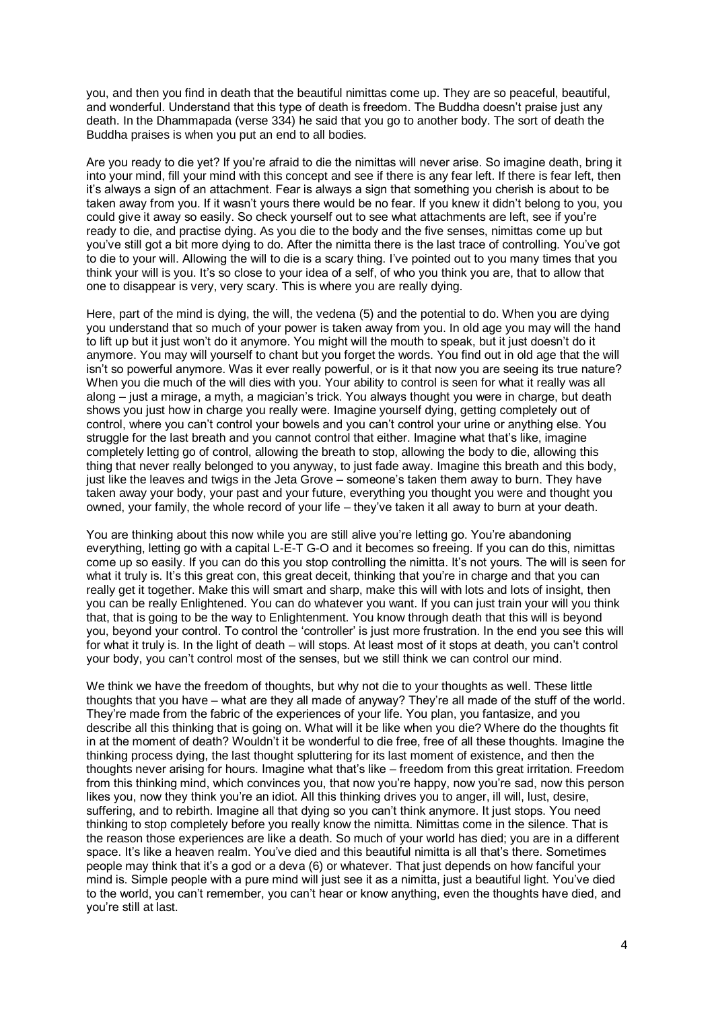you, and then you find in death that the beautiful nimittas come up. They are so peaceful, beautiful, and wonderful. Understand that this type of death is freedom. The Buddha doesn't praise just any death. In the Dhammapada (verse 334) he said that you go to another body. The sort of death the Buddha praises is when you put an end to all bodies.

Are you ready to die yet? If you're afraid to die the nimittas will never arise. So imagine death, bring it into your mind, fill your mind with this concept and see if there is any fear left. If there is fear left, then it's always a sign of an attachment. Fear is always a sign that something you cherish is about to be taken away from you. If it wasn't yours there would be no fear. If you knew it didn't belong to you, you could give it away so easily. So check yourself out to see what attachments are left, see if you're ready to die, and practise dying. As you die to the body and the five senses, nimittas come up but you've still got a bit more dying to do. After the nimitta there is the last trace of controlling. You've got to die to your will. Allowing the will to die is a scary thing. I've pointed out to you many times that you think your will is you. It's so close to your idea of a self, of who you think you are, that to allow that one to disappear is very, very scary. This is where you are really dying.

Here, part of the mind is dying, the will, the vedena (5) and the potential to do. When you are dying you understand that so much of your power is taken away from you. In old age you may will the hand to lift up but it just won't do it anymore. You might will the mouth to speak, but it just doesn't do it anymore. You may will yourself to chant but you forget the words. You find out in old age that the will isn't so powerful anymore. Was it ever really powerful, or is it that now you are seeing its true nature? When you die much of the will dies with you. Your ability to control is seen for what it really was all along – just a mirage, a myth, a magician's trick. You always thought you were in charge, but death shows you just how in charge you really were. Imagine yourself dying, getting completely out of control, where you can't control your bowels and you can't control your urine or anything else. You struggle for the last breath and you cannot control that either. Imagine what that's like, imagine completely letting go of control, allowing the breath to stop, allowing the body to die, allowing this thing that never really belonged to you anyway, to just fade away. Imagine this breath and this body, just like the leaves and twigs in the Jeta Grove – someone's taken them away to burn. They have taken away your body, your past and your future, everything you thought you were and thought you owned, your family, the whole record of your life – they've taken it all away to burn at your death.

You are thinking about this now while you are still alive you're letting go. You're abandoning everything, letting go with a capital L-E-T G-O and it becomes so freeing. If you can do this, nimittas come up so easily. If you can do this you stop controlling the nimitta. It's not yours. The will is seen for what it truly is. It's this great con, this great deceit, thinking that you're in charge and that you can really get it together. Make this will smart and sharp, make this will with lots and lots of insight, then you can be really Enlightened. You can do whatever you want. If you can just train your will you think that, that is going to be the way to Enlightenment. You know through death that this will is beyond you, beyond your control. To control the 'controller' is just more frustration. In the end you see this will for what it truly is. In the light of death – will stops. At least most of it stops at death, you can't control your body, you can't control most of the senses, but we still think we can control our mind.

We think we have the freedom of thoughts, but why not die to your thoughts as well. These little thoughts that you have – what are they all made of anyway? They're all made of the stuff of the world. They're made from the fabric of the experiences of your life. You plan, you fantasize, and you describe all this thinking that is going on. What will it be like when you die? Where do the thoughts fit in at the moment of death? Wouldn't it be wonderful to die free, free of all these thoughts. Imagine the thinking process dying, the last thought spluttering for its last moment of existence, and then the thoughts never arising for hours. Imagine what that's like – freedom from this great irritation. Freedom from this thinking mind, which convinces you, that now you're happy, now you're sad, now this person likes you, now they think you're an idiot. All this thinking drives you to anger, ill will, lust, desire, suffering, and to rebirth. Imagine all that dying so you can't think anymore. It just stops. You need thinking to stop completely before you really know the nimitta. Nimittas come in the silence. That is the reason those experiences are like a death. So much of your world has died; you are in a different space. It's like a heaven realm. You've died and this beautiful nimitta is all that's there. Sometimes people may think that it's a god or a deva (6) or whatever. That just depends on how fanciful your mind is. Simple people with a pure mind will just see it as a nimitta, just a beautiful light. You've died to the world, you can't remember, you can't hear or know anything, even the thoughts have died, and you're still at last.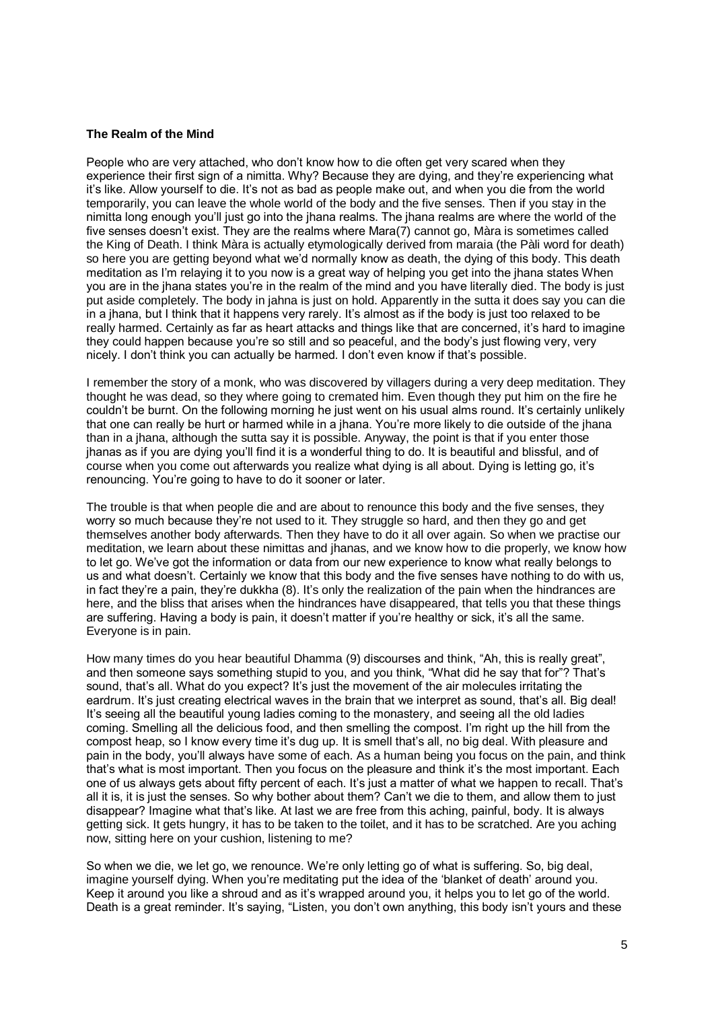### **The Realm of the Mind**

People who are very attached, who don't know how to die often get very scared when they experience their first sign of a nimitta. Why? Because they are dying, and they're experiencing what it's like. Allow yourself to die. It's not as bad as people make out, and when you die from the world temporarily, you can leave the whole world of the body and the five senses. Then if you stay in the nimitta long enough you'll just go into the jhana realms. The jhana realms are where the world of the five senses doesn't exist. They are the realms where Mara(7) cannot go, Màra is sometimes called the King of Death. I think Màra is actually etymologically derived from maraia (the Pàli word for death) so here you are getting beyond what we'd normally know as death, the dying of this body. This death meditation as I'm relaying it to you now is a great way of helping you get into the jhana states When you are in the jhana states you're in the realm of the mind and you have literally died. The body is just put aside completely. The body in jahna is just on hold. Apparently in the sutta it does say you can die in a jhana, but I think that it happens very rarely. It's almost as if the body is just too relaxed to be really harmed. Certainly as far as heart attacks and things like that are concerned, it's hard to imagine they could happen because you're so still and so peaceful, and the body's just flowing very, very nicely. I don't think you can actually be harmed. I don't even know if that's possible.

I remember the story of a monk, who was discovered by villagers during a very deep meditation. They thought he was dead, so they where going to cremated him. Even though they put him on the fire he couldn't be burnt. On the following morning he just went on his usual alms round. It's certainly unlikely that one can really be hurt or harmed while in a jhana. You're more likely to die outside of the jhana than in a jhana, although the sutta say it is possible. Anyway, the point is that if you enter those jhanas as if you are dying you'll find it is a wonderful thing to do. It is beautiful and blissful, and of course when you come out afterwards you realize what dying is all about. Dying is letting go, it's renouncing. You're going to have to do it sooner or later.

The trouble is that when people die and are about to renounce this body and the five senses, they worry so much because they're not used to it. They struggle so hard, and then they go and get themselves another body afterwards. Then they have to do it all over again. So when we practise our meditation, we learn about these nimittas and jhanas, and we know how to die properly, we know how to let go. We've got the information or data from our new experience to know what really belongs to us and what doesn't. Certainly we know that this body and the five senses have nothing to do with us, in fact they're a pain, they're dukkha (8). It's only the realization of the pain when the hindrances are here, and the bliss that arises when the hindrances have disappeared, that tells you that these things are suffering. Having a body is pain, it doesn't matter if you're healthy or sick, it's all the same. Everyone is in pain.

How many times do you hear beautiful Dhamma (9) discourses and think, "Ah, this is really great", and then someone says something stupid to you, and you think, "What did he say that for"? That's sound, that's all. What do you expect? It's just the movement of the air molecules irritating the eardrum. It's just creating electrical waves in the brain that we interpret as sound, that's all. Big deal! It's seeing all the beautiful young ladies coming to the monastery, and seeing all the old ladies coming. Smelling all the delicious food, and then smelling the compost. I'm right up the hill from the compost heap, so I know every time it's dug up. It is smell that's all, no big deal. With pleasure and pain in the body, you'll always have some of each. As a human being you focus on the pain, and think that's what is most important. Then you focus on the pleasure and think it's the most important. Each one of us always gets about fifty percent of each. It's just a matter of what we happen to recall. That's all it is, it is just the senses. So why bother about them? Can't we die to them, and allow them to just disappear? Imagine what that's like. At last we are free from this aching, painful, body. It is always getting sick. It gets hungry, it has to be taken to the toilet, and it has to be scratched. Are you aching now, sitting here on your cushion, listening to me?

So when we die, we let go, we renounce. We're only letting go of what is suffering. So, big deal, imagine yourself dying. When you're meditating put the idea of the 'blanket of death' around you. Keep it around you like a shroud and as it's wrapped around you, it helps you to let go of the world. Death is a great reminder. It's saying, "Listen, you don't own anything, this body isn't yours and these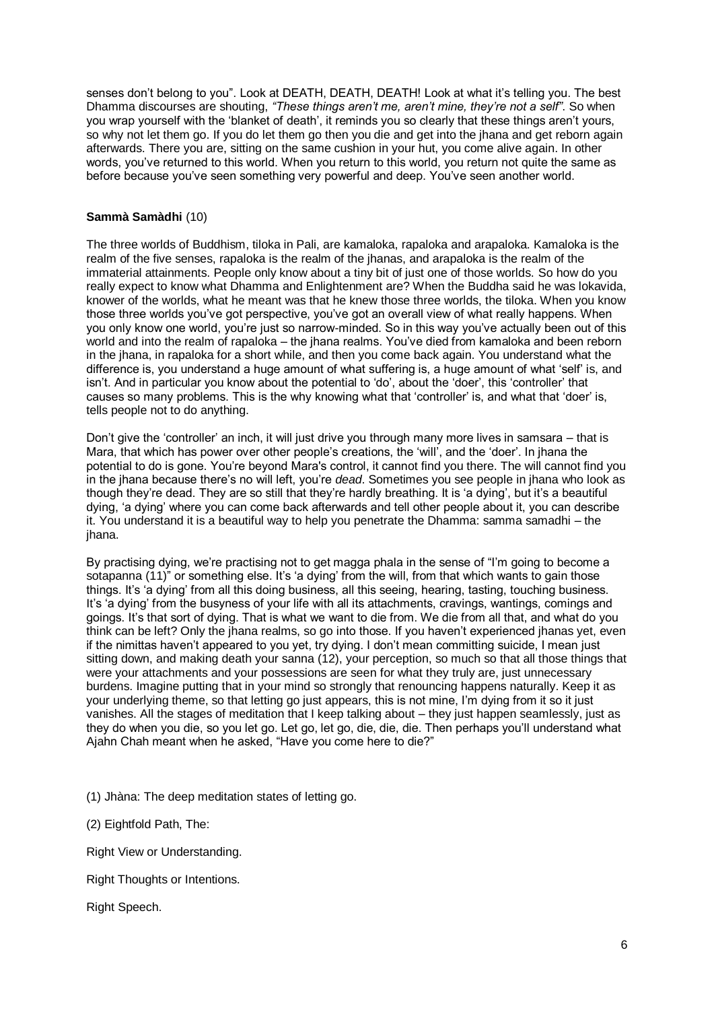senses don't belong to you". Look at DEATH, DEATH, DEATH! Look at what it's telling you. The best Dhamma discourses are shouting, *"These things aren't me, aren't mine, they're not a self"*. So when you wrap yourself with the 'blanket of death', it reminds you so clearly that these things aren't yours, so why not let them go. If you do let them go then you die and get into the jhana and get reborn again afterwards. There you are, sitting on the same cushion in your hut, you come alive again. In other words, you've returned to this world. When you return to this world, you return not quite the same as before because you've seen something very powerful and deep. You've seen another world.

# **Sammà Samàdhi** (10)

The three worlds of Buddhism, tiloka in Pali, are kamaloka, rapaloka and arapaloka. Kamaloka is the realm of the five senses, rapaloka is the realm of the jhanas, and arapaloka is the realm of the immaterial attainments. People only know about a tiny bit of just one of those worlds. So how do you really expect to know what Dhamma and Enlightenment are? When the Buddha said he was lokavida, knower of the worlds, what he meant was that he knew those three worlds, the tiloka. When you know those three worlds you've got perspective, you've got an overall view of what really happens. When you only know one world, you're just so narrow-minded. So in this way you've actually been out of this world and into the realm of rapaloka – the jhana realms. You've died from kamaloka and been reborn in the jhana, in rapaloka for a short while, and then you come back again. You understand what the difference is, you understand a huge amount of what suffering is, a huge amount of what 'self' is, and isn't. And in particular you know about the potential to 'do', about the 'doer', this 'controller' that causes so many problems. This is the why knowing what that 'controller' is, and what that 'doer' is, tells people not to do anything.

Don't give the 'controller' an inch, it will just drive you through many more lives in samsara – that is Mara, that which has power over other people's creations, the 'will', and the 'doer'. In jhana the potential to do is gone. You're beyond Mara's control, it cannot find you there. The will cannot find you in the jhana because there's no will left, you're *dead*. Sometimes you see people in jhana who look as though they're dead. They are so still that they're hardly breathing. It is 'a dying', but it's a beautiful dying, 'a dying' where you can come back afterwards and tell other people about it, you can describe it. You understand it is a beautiful way to help you penetrate the Dhamma: samma samadhi – the jhana.

By practising dying, we're practising not to get magga phala in the sense of "I'm going to become a sotapanna (11)" or something else. It's 'a dying' from the will, from that which wants to gain those things. It's 'a dying' from all this doing business, all this seeing, hearing, tasting, touching business. It's 'a dying' from the busyness of your life with all its attachments, cravings, wantings, comings and goings. It's that sort of dying. That is what we want to die from. We die from all that, and what do you think can be left? Only the jhana realms, so go into those. If you haven't experienced jhanas yet, even if the nimittas haven't appeared to you yet, try dying. I don't mean committing suicide, I mean just sitting down, and making death your sanna (12), your perception, so much so that all those things that were your attachments and your possessions are seen for what they truly are, just unnecessary burdens. Imagine putting that in your mind so strongly that renouncing happens naturally. Keep it as your underlying theme, so that letting go just appears, this is not mine, I'm dying from it so it just vanishes. All the stages of meditation that I keep talking about – they just happen seamlessly, just as they do when you die, so you let go. Let go, let go, die, die, die. Then perhaps you'll understand what Ajahn Chah meant when he asked, "Have you come here to die?"

(1) Jhàna: The deep meditation states of letting go.

(2) Eightfold Path, The:

Right View or Understanding.

Right Thoughts or Intentions.

Right Speech.